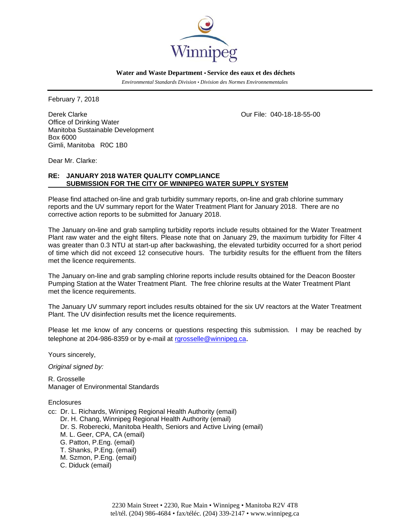

 **Water and Waste Department • Service des eaux et des déchets**

 *Environmental Standards Division • Division des Normes Environnementales* 

February 7, 2018

Derek Clarke Clarke Clarke Clarke Clarke Clarke Clarke Clarke Clarke Clarke Clarke Clarke Clarke Clarke Clarke Office of Drinking Water Manitoba Sustainable Development Box 6000 Gimli, Manitoba R0C 1B0

Dear Mr. Clarke:

# **RE: JANUARY 2018 WATER QUALITY COMPLIANCE SUBMISSION FOR THE CITY OF WINNIPEG WATER SUPPLY SYSTEM**

Please find attached on-line and grab turbidity summary reports, on-line and grab chlorine summary reports and the UV summary report for the Water Treatment Plant for January 2018. There are no corrective action reports to be submitted for January 2018.

The January on-line and grab sampling turbidity reports include results obtained for the Water Treatment Plant raw water and the eight filters. Please note that on January 29, the maximum turbidity for Filter 4 was greater than 0.3 NTU at start-up after backwashing, the elevated turbidity occurred for a short period of time which did not exceed 12 consecutive hours. The turbidity results for the effluent from the filters met the licence requirements.

The January on-line and grab sampling chlorine reports include results obtained for the Deacon Booster Pumping Station at the Water Treatment Plant. The free chlorine results at the Water Treatment Plant met the licence requirements.

The January UV summary report includes results obtained for the six UV reactors at the Water Treatment Plant. The UV disinfection results met the licence requirements.

Please let me know of any concerns or questions respecting this submission. I may be reached by telephone at 204-986-8359 or by e-mail at rgrosselle@winnipeg.ca.

Yours sincerely,

*Original signed by:* 

R. Grosselle Manager of Environmental Standards

**Enclosures** 

cc: Dr. L. Richards, Winnipeg Regional Health Authority (email) Dr. H. Chang, Winnipeg Regional Health Authority (email) Dr. S. Roberecki, Manitoba Health, Seniors and Active Living (email) M. L. Geer, CPA, CA (email) G. Patton, P.Eng. (email) T. Shanks, P.Eng. (email) M. Szmon, P.Eng. (email) C. Diduck (email)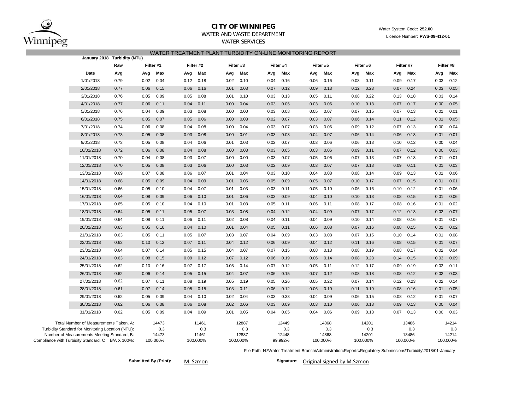

### **CITY OF WINNIPEG**WATER AND WASTE DEPARTMENT

## WATER SERVICES WATER TREATMENT PLANT TURBIDITY ON-LINE MONITORING REPORT

| January 2018 Turbidity (NTU)                                                                                                               |      |           |                       |           |                       |      |                       |      |                       |      |                       |      |                       |      |                       |      |                       |
|--------------------------------------------------------------------------------------------------------------------------------------------|------|-----------|-----------------------|-----------|-----------------------|------|-----------------------|------|-----------------------|------|-----------------------|------|-----------------------|------|-----------------------|------|-----------------------|
|                                                                                                                                            | Raw  | Filter #1 |                       | Filter #2 |                       |      | Filter #3             |      | Filter #4             |      | Filter #5             |      | Filter #6             |      | Filter #7             |      | Filter #8             |
| Date                                                                                                                                       | Avg  | Avg       | Max                   | Avg       | Max                   | Avg  | Max                   | Avg  | Max                   | Avg  | Max                   | Avg  | Max                   | Avg  | Max                   | Avg  | Max                   |
| 1/01/2018                                                                                                                                  | 0.79 | 0.02      | 0.04                  | 0.12      | 0.18                  | 0.02 | 0.10                  | 0.04 | 0.16                  | 0.06 | 0.16                  | 0.08 | 0.11                  | 0.09 | 0.17                  | 0.03 | 0.12                  |
| 2/01/2018                                                                                                                                  | 0.77 | 0.06      | 0.15                  | 0.06      | 0.16                  | 0.01 | 0.03                  | 0.07 | 0.12                  | 0.09 | 0.13                  | 0.12 | 0.23                  | 0.07 | 0.24                  | 0.03 | 0.05                  |
| 3/01/2018                                                                                                                                  | 0.76 | 0.05      | 0.09                  | 0.05      | 0.08                  | 0.01 | 0.10                  | 0.03 | 0.13                  | 0.05 | 0.11                  | 0.08 | 0.22                  | 0.13 | 0.18                  | 0.03 | 0.14                  |
| 4/01/2018                                                                                                                                  | 0.77 | 0.06      | 0.11                  | 0.04      | 0.11                  | 0.00 | 0.04                  | 0.03 | 0.06                  | 0.03 | 0.06                  | 0.10 | 0.13                  | 0.07 | 0.17                  | 0.00 | 0.05                  |
| 5/01/2018                                                                                                                                  | 0.76 | 0.04      | 0.09                  | 0.03      | 0.08                  | 0.00 | 0.00                  | 0.03 | 0.08                  | 0.05 | 0.07                  | 0.07 | 0.15                  | 0.07 | 0.13                  | 0.01 | 0.01                  |
| 6/01/2018                                                                                                                                  | 0.75 | 0.05      | 0.07                  | 0.05      | 0.06                  | 0.00 | 0.03                  | 0.02 | 0.07                  | 0.03 | 0.07                  | 0.06 | 0.14                  | 0.11 | 0.12                  | 0.01 | 0.05                  |
| 7/01/2018                                                                                                                                  | 0.74 | 0.06      | 0.08                  | 0.04      | 0.08                  | 0.00 | 0.04                  | 0.03 | 0.07                  | 0.03 | 0.06                  | 0.09 | 0.12                  | 0.07 | 0.13                  | 0.00 | 0.04                  |
| 8/01/2018                                                                                                                                  | 0.73 | 0.05      | 0.08                  | 0.03      | 0.08                  | 0.00 | 0.01                  | 0.03 | 0.08                  | 0.04 | 0.07                  | 0.06 | 0.14                  | 0.06 | 0.13                  | 0.01 | 0.01                  |
| 9/01/2018                                                                                                                                  | 0.73 | 0.05      | 0.08                  | 0.04      | 0.06                  | 0.01 | 0.03                  | 0.02 | 0.07                  | 0.03 | 0.06                  | 0.06 | 0.13                  | 0.10 | 0.12                  | 0.00 | 0.04                  |
| 10/01/2018                                                                                                                                 | 0.72 | 0.06      | 0.08                  | 0.04      | 0.08                  | 0.00 | 0.03                  | 0.03 | 0.05                  | 0.03 | 0.06                  | 0.09 | 0.11                  | 0.07 | 0.12                  | 0.00 | 0.03                  |
| 11/01/2018                                                                                                                                 | 0.70 | 0.04      | 0.08                  | 0.03      | 0.07                  | 0.00 | 0.00                  | 0.03 | 0.07                  | 0.05 | 0.06                  | 0.07 | 0.13                  | 0.07 | 0.13                  | 0.01 | 0.01                  |
| 12/01/2018                                                                                                                                 | 0.70 | 0.05      | 0.08                  | 0.03      | 0.06                  | 0.00 | 0.03                  | 0.02 | 0.09                  | 0.03 | 0.07                  | 0.07 | 0.13                  | 0.09 | 0.11                  | 0.01 | 0.03                  |
| 13/01/2018                                                                                                                                 | 0.69 | 0.07      | 0.08                  | 0.06      | 0.07                  | 0.01 | 0.04                  | 0.03 | 0.10                  | 0.04 | 0.08                  | 0.08 | 0.14                  | 0.09 | 0.13                  | 0.01 | 0.06                  |
| 14/01/2018                                                                                                                                 | 0.68 | 0.05      | 0.09                  | 0.04      | 0.09                  | 0.01 | 0.06                  | 0.05 | 0.09                  | 0.05 | 0.07                  | 0.10 | 0.17                  | 0.07 | 0.15                  | 0.01 | 0.01                  |
| 15/01/2018                                                                                                                                 | 0.66 | 0.05      | 0.10                  | 0.04      | 0.07                  | 0.01 | 0.03                  | 0.03 | 0.11                  | 0.05 | 0.10                  | 0.06 | 0.16                  | 0.10 | 0.12                  | 0.01 | 0.06                  |
| 16/01/2018                                                                                                                                 | 0.64 | 0.08      | 0.09                  | 0.06      | 0.10                  | 0.01 | 0.06                  | 0.03 | 0.09                  | 0.04 | 0.10                  | 0.10 | 0.13                  | 0.08 | 0.15                  | 0.01 | 0.06                  |
| 17/01/2018                                                                                                                                 | 0.65 | 0.05      | 0.10                  | 0.04      | 0.10                  | 0.01 | 0.03                  | 0.05 | 0.11                  | 0.06 | 0.11                  | 0.08 | 0.17                  | 0.08 | 0.16                  | 0.01 | 0.02                  |
| 18/01/2018                                                                                                                                 | 0.64 | 0.05      | 0.11                  | 0.05      | 0.07                  | 0.03 | 0.08                  | 0.04 | 0.12                  | 0.04 | 0.09                  | 0.07 | 0.17                  | 0.12 | 0.13                  | 0.02 | 0.07                  |
| 19/01/2018                                                                                                                                 | 0.64 | 0.08      | 0.11                  | 0.06      | 0.11                  | 0.02 | 0.08                  | 0.04 | 0.11                  | 0.04 | 0.09                  | 0.10 | 0.14                  | 0.08 | 0.16                  | 0.01 | 0.07                  |
| 20/01/2018                                                                                                                                 | 0.63 | 0.05      | 0.10                  | 0.04      | 0.10                  | 0.01 | 0.04                  | 0.05 | 0.11                  | 0.06 | 0.08                  | 0.07 | 0.16                  | 0.08 | 0.15                  | 0.01 | 0.02                  |
| 21/01/2018                                                                                                                                 | 0.63 | 0.05      | 0.11                  | 0.05      | 0.07                  | 0.03 | 0.07                  | 0.04 | 0.09                  | 0.03 | 0.08                  | 0.07 | 0.15                  | 0.10 | 0.14                  | 0.01 | 0.08                  |
| 22/01/2018                                                                                                                                 | 0.63 | 0.10      | 0.12                  | 0.07      | 0.11                  | 0.04 | 0.12                  | 0.06 | 0.09                  | 0.04 | 0.12                  | 0.11 | 0.16                  | 0.08 | 0.15                  | 0.01 | 0.07                  |
| 23/01/2018                                                                                                                                 | 0.64 | 0.07      | 0.14                  | 0.05      | 0.15                  | 0.04 | 0.07                  | 0.07 | 0.15                  | 0.08 | 0.13                  | 0.08 | 0.19                  | 0.08 | 0.17                  | 0.02 | 0.04                  |
| 24/01/2018                                                                                                                                 | 0.63 | 0.08      | 0.15                  | 0.09      | 0.12                  | 0.07 | 0.12                  | 0.06 | 0.19                  | 0.06 | 0.14                  | 0.08 | 0.23                  | 0.14 | 0.15                  | 0.03 | 0.09                  |
| 25/01/2018                                                                                                                                 | 0.62 | 0.10      | 0.16                  | 0.07      | 0.17                  | 0.05 | 0.14                  | 0.07 | 0.12                  | 0.05 | 0.11                  | 0.12 | 0.17                  | 0.09 | 0.19                  | 0.02 | 0.11                  |
| 26/01/2018                                                                                                                                 | 0.62 | 0.06      | 0.14                  | 0.05      | 0.15                  | 0.04 | 0.07                  | 0.06 | 0.15                  | 0.07 | 0.12                  | 0.08 | 0.18                  | 0.08 | 0.12                  | 0.02 | 0.03                  |
| 27/01/2018                                                                                                                                 | 0.62 | 0.07      | 0.11                  | 0.08      | 0.19                  | 0.05 | 0.19                  | 0.05 | 0.26                  | 0.05 | 0.22                  | 0.07 | 0.14                  | 0.12 | 0.23                  | 0.02 | 0.14                  |
| 28/01/2018                                                                                                                                 | 0.61 | 0.07      | 0.14                  | 0.05      | 0.15                  | 0.03 | 0.11                  | 0.06 | 0.12                  | 0.06 | 0.10                  | 0.11 | 0.19                  | 0.08 | 0.16                  | 0.01 | 0.05                  |
| 29/01/2018                                                                                                                                 | 0.62 | 0.05      | 0.09                  | 0.04      | 0.10                  | 0.02 | 0.04                  | 0.03 | 0.33                  | 0.04 | 0.09                  | 0.06 | 0.15                  | 0.08 | 0.12                  | 0.01 | 0.07                  |
| 30/01/2018                                                                                                                                 | 0.62 | 0.06      | 0.08                  | 0.06      | 0.08                  | 0.02 | 0.06                  | 0.03 | 0.09                  | 0.03 | 0.10                  | 0.06 | 0.13                  | 0.09 | 0.13                  | 0.00 | 0.04                  |
| 31/01/2018                                                                                                                                 | 0.62 | 0.05      | 0.09                  | 0.04      | 0.09                  | 0.01 | 0.05                  | 0.04 | 0.05                  | 0.04 | 0.06                  | 0.09 | 0.13                  | 0.07 | 0.13                  | 0.00 | 0.03                  |
| Total Number of Measurements Taken, A:<br>Turbidity Standard for Monitoring Location (NTU):<br>Number of Measurements Meeting Standard, B: |      |           | 14473<br>0.3<br>14473 |           | 11461<br>0.3<br>11461 |      | 12887<br>0.3<br>12887 |      | 12449<br>0.3<br>12448 |      | 14868<br>0.3<br>14868 |      | 14201<br>0.3<br>14201 |      | 13486<br>0.3<br>13486 |      | 14214<br>0.3<br>14214 |
| Compliance with Turbidity Standard, C = B/A X 100%:                                                                                        |      |           | 100.000%              |           | 100.000%              |      | 100.000%              |      | 99.992%               |      | 100.000%              |      | 100.000%              |      | 100.000%              |      | 100.000%              |

File Path: N:\Water Treatment Branch\Administration\Reports\Regulatory Submissions\Turbidity\2018\01-January

 $Submitted By (Print):$ 

M. Szmon

Signature: Original signed by M.Szmon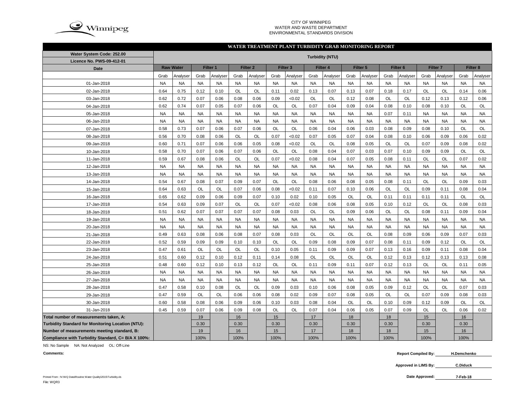

#### CITY OF WINNIPEG WATER AND WASTE DEPARTMENTENVIRONMENTAL STANDARDS DIVISION

#### **WATER TREATMENT PLANT TURBIDITY GRAB MONITORING REPORT**

| Water System Code: 252.00                          | <b>Turbidity (NTU)</b> |           |           |           |                     |           |           |                                 |           |           |           |           |                     |           |                     |           |           |           |
|----------------------------------------------------|------------------------|-----------|-----------|-----------|---------------------|-----------|-----------|---------------------------------|-----------|-----------|-----------|-----------|---------------------|-----------|---------------------|-----------|-----------|-----------|
| Licence No. PWS-09-412-01                          |                        |           |           |           |                     |           |           |                                 |           |           |           |           |                     |           |                     |           |           |           |
| Date                                               | <b>Raw Water</b>       |           | Filter 1  |           | Filter <sub>2</sub> |           |           | Filter 4<br>Filter <sub>3</sub> |           |           | Filter 5  |           | Filter <sub>6</sub> |           | Filter <sub>7</sub> |           | Filter 8  |           |
|                                                    | Grab                   | Analyser  | Grab      | Analyser  | Grab                | Analyser  | Grab      | Analyser                        | Grab      | Analyser  | Grab      | Analyser  | Grab                | Analyser  | Grab                | Analyser  | Grab      | Analyser  |
| 01-Jan-2018                                        | <b>NA</b>              | <b>NA</b> | <b>NA</b> | <b>NA</b> | <b>NA</b>           | <b>NA</b> | <b>NA</b> | <b>NA</b>                       | <b>NA</b> | <b>NA</b> | <b>NA</b> | <b>NA</b> | <b>NA</b>           | <b>NA</b> | <b>NA</b>           | <b>NA</b> | <b>NA</b> | <b>NA</b> |
| 02-Jan-2018                                        | 0.64                   | 0.75      | 0.12      | 0.10      | OL                  | OL        | 0.11      | 0.02                            | 0.13      | 0.07      | 0.13      | 0.07      | 0.18                | 0.17      | OL                  | OL        | 0.14      | 0.06      |
| 03-Jan-2018                                        | 0.62                   | 0.72      | 0.07      | 0.06      | 0.08                | 0.06      | 0.09      | < 0.02                          | <b>OL</b> | OL        | 0.12      | 0.08      | OL                  | OL        | 0.12                | 0.13      | 0.12      | 0.06      |
| 04-Jan-2018                                        | 0.62                   | 0.74      | 0.07      | 0.05      | 0.07                | 0.06      | <b>OL</b> | OL                              | 0.07      | 0.04      | 0.09      | 0.04      | 0.08                | 0.10      | 0.08                | 0.10      | <b>OL</b> | OL        |
| 05-Jan-2018                                        | <b>NA</b>              | <b>NA</b> | <b>NA</b> | <b>NA</b> | <b>NA</b>           | <b>NA</b> | <b>NA</b> | <b>NA</b>                       | <b>NA</b> | <b>NA</b> | <b>NA</b> | <b>NA</b> | 0.07                | 0.11      | <b>NA</b>           | <b>NA</b> | <b>NA</b> | <b>NA</b> |
| 06-Jan-2018                                        | <b>NA</b>              | <b>NA</b> | <b>NA</b> | <b>NA</b> | <b>NA</b>           | <b>NA</b> | <b>NA</b> | <b>NA</b>                       | <b>NA</b> | <b>NA</b> | <b>NA</b> | <b>NA</b> | <b>NA</b>           | <b>NA</b> | <b>NA</b>           | <b>NA</b> | <b>NA</b> | <b>NA</b> |
| 07-Jan-2018                                        | 0.58                   | 0.73      | 0.07      | 0.06      | 0.07                | 0.06      | OL        | OL                              | 0.06      | 0.04      | 0.06      | 0.03      | 0.08                | 0.09      | 0.08                | 0.10      | OL        | OL        |
| 08-Jan-2018                                        | 0.56                   | 0.70      | 0.08      | 0.06      | OL                  | OL        | 0.07      | < 0.02                          | 0.07      | 0.05      | 0.07      | 0.04      | 0.08                | 0.10      | 0.06                | 0.09      | 0.06      | 0.02      |
| 09-Jan-2018                                        | 0.60                   | 0.71      | 0.07      | 0.06      | 0.06                | 0.05      | 0.08      | < 0.02                          | <b>OL</b> | <b>OL</b> | 0.08      | 0.05      | <b>OL</b>           | <b>OL</b> | 0.07                | 0.09      | 0.08      | 0.02      |
| 10-Jan-2018                                        | 0.58                   | 0.70      | 0.07      | 0.06      | 0.07                | 0.06      | OL        | <b>OL</b>                       | 0.08      | 0.04      | 0.07      | 0.03      | 0.07                | 0.10      | 0.09                | 0.09      | <b>OL</b> | <b>OL</b> |
| 11-Jan-2018                                        | 0.59                   | 0.67      | 0.08      | 0.06      | OL                  | OL        | 0.07      | < 0.02                          | 0.08      | 0.04      | 0.07      | 0.05      | 0.08                | 0.11      | OL                  | OL        | 0.07      | 0.02      |
| 12-Jan-2018                                        | <b>NA</b>              | <b>NA</b> | <b>NA</b> | <b>NA</b> | <b>NA</b>           | <b>NA</b> | <b>NA</b> | <b>NA</b>                       | <b>NA</b> | <b>NA</b> | <b>NA</b> | <b>NA</b> | <b>NA</b>           | <b>NA</b> | <b>NA</b>           | <b>NA</b> | <b>NA</b> | <b>NA</b> |
| 13-Jan-2018                                        | <b>NA</b>              | <b>NA</b> | <b>NA</b> | <b>NA</b> | <b>NA</b>           | <b>NA</b> | <b>NA</b> | <b>NA</b>                       | <b>NA</b> | <b>NA</b> | <b>NA</b> | <b>NA</b> | <b>NA</b>           | <b>NA</b> | <b>NA</b>           | <b>NA</b> | <b>NA</b> | <b>NA</b> |
| 14-Jan-2018                                        | 0.54                   | 0.67      | 0.08      | 0.07      | 0.09                | 0.07      | <b>OL</b> | OL                              | 0.08      | 0.06      | 0.08      | 0.05      | 0.08                | 0.11      | OL                  | OL        | 0.09      | 0.03      |
| 15-Jan-2018                                        | 0.64                   | 0.63      | OL        | OL        | 0.07                | 0.06      | 0.08      | < 0.02                          | 0.11      | 0.07      | 0.10      | 0.06      | OL                  | OL        | 0.09                | 0.11      | 0.08      | 0.04      |
| 16-Jan-2018                                        | 0.65                   | 0.62      | 0.09      | 0.06      | 0.09                | 0.07      | 0.10      | 0.02                            | 0.10      | 0.05      | OL        | OL        | 0.11                | 0.11      | 0.11                | 0.11      | OL        | OL        |
| 17-Jan-2018                                        | 0.54                   | 0.63      | 0.09      | 0.07      | OL                  | OL        | 0.07      | < 0.02                          | 0.08      | 0.06      | 0.08      | 0.05      | 0.10                | 0.12      | OL                  | OL        | 0.08      | 0.03      |
| 18-Jan-2018                                        | 0.51                   | 0.62      | 0.07      | 0.07      | 0.07                | 0.07      | 0.08      | 0.03                            | <b>OL</b> | OL        | 0.09      | 0.06      | OL                  | OL        | 0.08                | 0.11      | 0.09      | 0.04      |
| 19-Jan-2018                                        | <b>NA</b>              | <b>NA</b> | <b>NA</b> | <b>NA</b> | <b>NA</b>           | <b>NA</b> | <b>NA</b> | <b>NA</b>                       | <b>NA</b> | <b>NA</b> | <b>NA</b> | <b>NA</b> | <b>NA</b>           | <b>NA</b> | <b>NA</b>           | <b>NA</b> | <b>NA</b> | <b>NA</b> |
| 20-Jan-2018                                        | <b>NA</b>              | <b>NA</b> | <b>NA</b> | <b>NA</b> | <b>NA</b>           | <b>NA</b> | <b>NA</b> | <b>NA</b>                       | <b>NA</b> | <b>NA</b> | <b>NA</b> | <b>NA</b> | <b>NA</b>           | <b>NA</b> | <b>NA</b>           | <b>NA</b> | <b>NA</b> | <b>NA</b> |
| 21-Jan-2018                                        | 0.49                   | 0.63      | 0.08      | 0.06      | 0.08                | 0.07      | 0.08      | 0.03                            | <b>OL</b> | OL        | <b>OL</b> | OL        | 0.08                | 0.09      | 0.06                | 0.09      | 0.07      | 0.03      |
| 22-Jan-2018                                        | 0.52                   | 0.59      | 0.09      | 0.09      | 0.10                | 0.10      | OL        | OL                              | 0.09      | 0.08      | 0.09      | 0.07      | 0.08                | 0.11      | 0.09                | 0.12      | OL        | OL        |
| 23-Jan-2018                                        | 0.47                   | 0.61      | OL        | OL        | OL                  | OL        | 0.10      | 0.05                            | 0.11      | 0.09      | 0.09      | 0.07      | 0.13                | 0.16      | 0.09                | 0.11      | 0.08      | 0.04      |
| 24-Jan-2018                                        | 0.51                   | 0.60      | 0.12      | 0.10      | 0.12                | 0.11      | 0.14      | 0.08                            | <b>OL</b> | <b>OL</b> | <b>OL</b> | OL        | 0.12                | 0.13      | 0.12                | 0.13      | 0.13      | 0.08      |
| 25-Jan-2018                                        | 0.48                   | 0.60      | 0.12      | 0.10      | 0.13                | 0.12      | OL        | OL                              | 0.11      | 0.09      | 0.11      | 0.07      | 0.12                | 0.13      | OL                  | OL        | 0.11      | 0.05      |
| 26-Jan-2018                                        | <b>NA</b>              | <b>NA</b> | <b>NA</b> | <b>NA</b> | <b>NA</b>           | <b>NA</b> | <b>NA</b> | <b>NA</b>                       | <b>NA</b> | <b>NA</b> | <b>NA</b> | <b>NA</b> | <b>NA</b>           | <b>NA</b> | <b>NA</b>           | <b>NA</b> | <b>NA</b> | <b>NA</b> |
| 27-Jan-2018                                        | <b>NA</b>              | <b>NA</b> | <b>NA</b> | <b>NA</b> | <b>NA</b>           | <b>NA</b> | <b>NA</b> | <b>NA</b>                       | <b>NA</b> | <b>NA</b> | <b>NA</b> | <b>NA</b> | <b>NA</b>           | <b>NA</b> | <b>NA</b>           | <b>NA</b> | <b>NA</b> | <b>NA</b> |
| 28-Jan-2018                                        | 0.47                   | 0.58      | 0.10      | 0.08      | OL                  | OL        | 0.09      | 0.03                            | 0.10      | 0.06      | 0.08      | 0.05      | 0.09                | 0.12      | OL                  | OL        | 0.07      | 0.03      |
| 29-Jan-2018                                        | 0.47                   | 0.59      | OL        | <b>OL</b> | 0.06                | 0.06      | 0.08      | 0.02                            | 0.09      | 0.07      | 0.08      | 0.05      | <b>OL</b>           | <b>OL</b> | 0.07                | 0.09      | 0.08      | 0.03      |
| 30-Jan-2018                                        | 0.60                   | 0.58      | 0.08      | 0.06      | 0.09                | 0.06      | 0.10      | 0.03                            | 0.08      | 0.04      | <b>OL</b> | <b>OL</b> | 0.10                | 0.09      | 0.12                | 0.09      | OL        | <b>OL</b> |
| 31-Jan-2018                                        | 0.45                   | 0.59      | 0.07      | 0.06      | 0.09                | 0.08      | OL        | OL                              | 0.07      | 0.04      | 0.06      | 0.05      | 0.07                | 0.09      | OL                  | OL        | 0.06      | 0.02      |
| Total number of measurements taken, A:             |                        |           | 19        |           | 16                  |           | 15        |                                 | 17        |           | 18        |           | 18                  |           | 15                  |           | 16        |           |
| Turbidity Standard for Monitoring Location (NTU):  |                        |           | 0.30      |           | 0.30                |           | 0.30      |                                 | 0.30      |           | 0.30      |           | 0.30                |           | 0.30                |           | 0.30      |           |
| Number of measurements meeting standard, B:        |                        |           | 19        |           | 16                  |           | 15        |                                 | 17        |           | 18        |           | 18                  |           | 15                  |           | 16        |           |
| Compliance with Turbidity Standard, C= B/A X 100%: |                        |           | 100%      |           | 100%                |           | 100%      |                                 | 100%      |           | 100%      |           | 100%                |           | 100%                |           | 100%      |           |

NS: No Sample NA: Not Analyzed OL: Off-Line

**Comments:**

 **Report Compiled By: H.Demchenko**

**Approved in LIMS By: C.Diduck**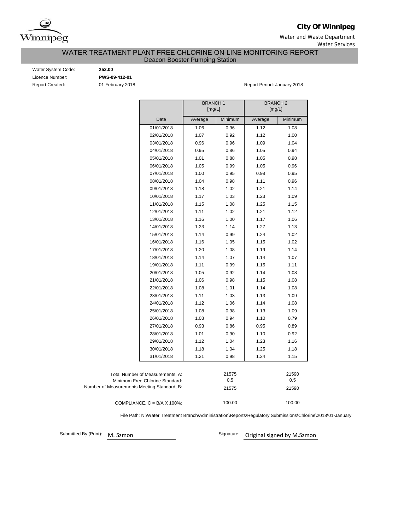

**City Of Winnipeg**

Water and Waste Department Water Services

WATER TREATMENT PLANT FREE CHLORINE ON-LINE MONITORING REPORT

Deacon Booster Pumping Station

Water System Code: **252.00** Licence Number: **PWS-09-412-01**

Report Created: **01 February 2018 Report Period: January 2018** Report Period: January 2018

|                                             | <b>BRANCH1</b> |         | <b>BRANCH2</b> |         |  |  |
|---------------------------------------------|----------------|---------|----------------|---------|--|--|
|                                             | [mg/L]         |         | [mg/L]         |         |  |  |
| Date                                        | Average        | Minimum | Average        | Minimum |  |  |
| 01/01/2018                                  | 1.06           | 0.96    | 1.12           | 1.08    |  |  |
| 02/01/2018                                  | 1.07           | 0.92    | 1.12           | 1.00    |  |  |
| 03/01/2018                                  | 0.96           | 0.96    | 1.09           | 1.04    |  |  |
| 04/01/2018                                  | 0.95           | 0.86    | 1.05           | 0.94    |  |  |
| 05/01/2018                                  | 1.01           | 0.88    | 1.05           | 0.98    |  |  |
| 06/01/2018                                  | 1.05           | 0.99    | 1.05           | 0.96    |  |  |
| 07/01/2018                                  | 1.00           | 0.95    | 0.98           | 0.95    |  |  |
| 08/01/2018                                  | 1.04           | 0.98    | 1.11           | 0.96    |  |  |
| 09/01/2018                                  | 1.18           | 1.02    | 1.21           | 1.14    |  |  |
| 10/01/2018                                  | 1.17           | 1.03    | 1.23           | 1.09    |  |  |
| 11/01/2018                                  | 1.15           | 1.08    | 1.25           | 1.15    |  |  |
| 12/01/2018                                  | 1.11           | 1.02    | 1.21           | 1.12    |  |  |
| 13/01/2018                                  | 1.16           | 1.00    | 1.17           | 1.06    |  |  |
| 14/01/2018                                  | 1.23           | 1.14    | 1.27           | 1.13    |  |  |
| 15/01/2018                                  | 1.14           | 0.99    | 1.24           | 1.02    |  |  |
| 16/01/2018                                  | 1.16           | 1.05    | 1.15           | 1.02    |  |  |
| 17/01/2018                                  | 1.20           | 1.08    | 1.19           | 1.14    |  |  |
| 18/01/2018                                  | 1.14           | 1.07    | 1.14           | 1.07    |  |  |
| 19/01/2018                                  | 1.11           | 0.99    | 1.15           | 1.11    |  |  |
| 20/01/2018                                  | 1.05           | 0.92    | 1.14           | 1.08    |  |  |
| 21/01/2018                                  | 1.06           | 0.98    | 1.15           | 1.08    |  |  |
| 22/01/2018                                  | 1.08           | 1.01    | 1.14           | 1.08    |  |  |
| 23/01/2018                                  | 1.11           | 1.03    | 1.13           | 1.09    |  |  |
| 24/01/2018                                  | 1.12           | 1.06    | 1.14           | 1.08    |  |  |
| 25/01/2018                                  | 1.08           | 0.98    | 1.13           | 1.09    |  |  |
| 26/01/2018                                  | 1.03           | 0.94    | 1.10           | 0.79    |  |  |
| 27/01/2018                                  | 0.93           | 0.86    | 0.95           | 0.89    |  |  |
| 28/01/2018                                  | 1.01           | 0.90    | 1.10           | 0.92    |  |  |
| 29/01/2018                                  | 1.12           | 1.04    | 1.23           | 1.16    |  |  |
| 30/01/2018                                  | 1.18           | 1.04    | 1.25           | 1.18    |  |  |
| 31/01/2018                                  | 1.21           | 0.98    | 1.24           | 1.15    |  |  |
|                                             |                |         |                |         |  |  |
| Total Number of Measurements, A:            |                | 21575   |                | 21590   |  |  |
| Minimum Free Chlorine Standard:             |                | 0.5     |                | 0.5     |  |  |
| Number of Measurements Meeting Standard, B: |                | 21575   |                | 21590   |  |  |
|                                             |                |         |                |         |  |  |
| COMPLIANCE, $C = B/A \times 100\%$ :        |                | 100.00  |                | 100.00  |  |  |

File Path: N:\Water Treatment Branch\Administration\Reports\Regulatory Submissions\Chlorine\2018\01-January

Submitted By (Print): M. Szmon

Signature: Original signed by M.Szmon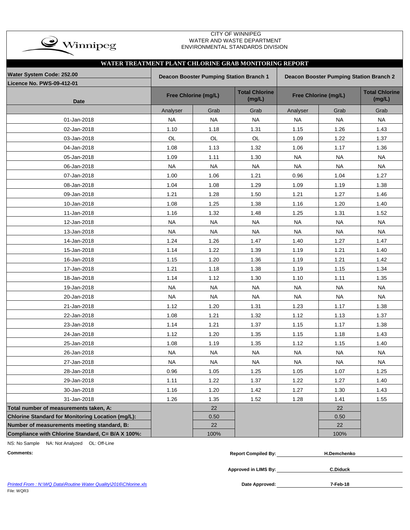

### CITY OF WINNIPEG WATER AND WASTE DEPARTMENT ENVIRONMENTAL STANDARDS DIVISION

| WATER TREATMENT PLANT CHLORINE GRAB MONITORING REPORT |                                                                                           |                      |                                 |                      |                                 |           |  |  |  |  |
|-------------------------------------------------------|-------------------------------------------------------------------------------------------|----------------------|---------------------------------|----------------------|---------------------------------|-----------|--|--|--|--|
| Water System Code: 252.00                             | Deacon Booster Pumping Station Branch 1<br><b>Deacon Booster Pumping Station Branch 2</b> |                      |                                 |                      |                                 |           |  |  |  |  |
| Licence No. PWS-09-412-01<br>Date                     |                                                                                           | Free Chlorine (mg/L) | <b>Total Chlorine</b><br>(mg/L) | Free Chlorine (mg/L) | <b>Total Chlorine</b><br>(mg/L) |           |  |  |  |  |
|                                                       | Analyser                                                                                  | Grab                 | Grab                            | Analyser             | Grab                            | Grab      |  |  |  |  |
| 01-Jan-2018                                           | <b>NA</b>                                                                                 | <b>NA</b>            | <b>NA</b>                       | <b>NA</b>            | <b>NA</b>                       | <b>NA</b> |  |  |  |  |
| 02-Jan-2018                                           | 1.10                                                                                      | 1.18                 | 1.31                            | 1.15                 | 1.26                            | 1.43      |  |  |  |  |
| 03-Jan-2018                                           | OL                                                                                        | OL                   | OL                              | 1.09                 | 1.22                            | 1.37      |  |  |  |  |
| 04-Jan-2018                                           | 1.08                                                                                      | 1.13                 | 1.32                            | 1.06                 | 1.17                            | 1.36      |  |  |  |  |
| 05-Jan-2018                                           | 1.09                                                                                      | 1.11                 | 1.30                            | <b>NA</b>            | <b>NA</b>                       | <b>NA</b> |  |  |  |  |
| 06-Jan-2018                                           | NA                                                                                        | <b>NA</b>            | <b>NA</b>                       | <b>NA</b>            | <b>NA</b>                       | <b>NA</b> |  |  |  |  |
| 07-Jan-2018                                           | 1.00                                                                                      | 1.06                 | 1.21                            | 0.96                 | 1.04                            | 1.27      |  |  |  |  |
| 08-Jan-2018                                           | 1.04                                                                                      | 1.08                 | 1.29                            | 1.09                 | 1.19                            | 1.38      |  |  |  |  |
| 09-Jan-2018                                           | 1.21                                                                                      | 1.28                 | 1.50                            | 1.21                 | 1.27                            | 1.46      |  |  |  |  |
| 10-Jan-2018                                           | 1.08                                                                                      | 1.25                 | 1.38                            | 1.16                 | 1.20                            | 1.40      |  |  |  |  |
| 11-Jan-2018                                           | 1.16                                                                                      | 1.32                 | 1.48                            | 1.25                 | 1.31                            | 1.52      |  |  |  |  |
| 12-Jan-2018                                           | <b>NA</b>                                                                                 | <b>NA</b>            | <b>NA</b>                       | <b>NA</b>            | <b>NA</b>                       | <b>NA</b> |  |  |  |  |
| 13-Jan-2018                                           | NA                                                                                        | <b>NA</b>            | <b>NA</b>                       | <b>NA</b>            | <b>NA</b>                       | <b>NA</b> |  |  |  |  |
| 14-Jan-2018                                           | 1.24                                                                                      | 1.26                 | 1.47                            | 1.40                 | 1.27                            | 1.47      |  |  |  |  |
| 15-Jan-2018                                           | 1.14                                                                                      | 1.22                 | 1.39                            | 1.19                 | 1.21                            | 1.40      |  |  |  |  |
| 16-Jan-2018                                           | 1.15                                                                                      | 1.20                 | 1.36                            | 1.19                 | 1.21                            | 1.42      |  |  |  |  |
| 17-Jan-2018                                           | 1.21                                                                                      | 1.18                 | 1.38                            | 1.19                 | 1.15                            | 1.34      |  |  |  |  |
| 18-Jan-2018                                           | 1.14                                                                                      | 1.12                 | 1.30                            | 1.10                 | 1.11                            | 1.35      |  |  |  |  |
| 19-Jan-2018                                           | <b>NA</b>                                                                                 | <b>NA</b>            | <b>NA</b>                       | <b>NA</b>            | <b>NA</b>                       | <b>NA</b> |  |  |  |  |
| 20-Jan-2018                                           | <b>NA</b>                                                                                 | <b>NA</b>            | <b>NA</b>                       | <b>NA</b>            | <b>NA</b>                       | <b>NA</b> |  |  |  |  |
| 21-Jan-2018                                           | 1.12                                                                                      | 1.20                 | 1.31                            | 1.23                 | 1.17                            | 1.38      |  |  |  |  |
| 22-Jan-2018                                           | 1.08                                                                                      | 1.21                 | 1.32                            | 1.12                 | 1.13                            | 1.37      |  |  |  |  |
| 23-Jan-2018                                           | 1.14                                                                                      | 1.21                 | 1.37                            | 1.15                 | 1.17                            | 1.38      |  |  |  |  |
| 24-Jan-2018                                           | 1.12                                                                                      | 1.20                 | 1.35                            | 1.15                 | 1.18                            | 1.43      |  |  |  |  |
| 25-Jan-2018                                           | 1.08                                                                                      | 1.19                 | 1.35                            | 1.12                 | 1.15                            | 1.40      |  |  |  |  |
| 26-Jan-2018                                           | <b>NA</b>                                                                                 | <b>NA</b>            | <b>NA</b>                       | <b>NA</b>            | <b>NA</b>                       | <b>NA</b> |  |  |  |  |
| 27-Jan-2018                                           | <b>NA</b>                                                                                 | <b>NA</b>            | <b>NA</b>                       | <b>NA</b>            | <b>NA</b>                       | <b>NA</b> |  |  |  |  |
| 28-Jan-2018                                           | 0.96                                                                                      | 1.05                 | 1.25                            | 1.05                 | 1.07                            | 1.25      |  |  |  |  |
| 29-Jan-2018                                           | 1.11                                                                                      | 1.22                 | 1.37                            | 1.22                 | 1.27                            | 1.40      |  |  |  |  |
| 30-Jan-2018                                           | 1.16                                                                                      | 1.20                 | 1.42                            | 1.27                 | 1.30                            | 1.43      |  |  |  |  |
| 31-Jan-2018                                           | 1.26                                                                                      | 1.35                 | 1.52                            | 1.28                 | 1.41                            | 1.55      |  |  |  |  |
| Total number of measurements taken, A:                |                                                                                           | 22                   |                                 |                      | 22                              |           |  |  |  |  |
| Chlorine Standard for Monitoring Location (mg/L):     |                                                                                           | 0.50                 |                                 |                      | 0.50                            |           |  |  |  |  |
| Number of measurements meeting standard, B:           |                                                                                           | 22                   |                                 |                      | 22                              |           |  |  |  |  |
| Compliance with Chlorine Standard, C= B/A X 100%:     |                                                                                           | 100%                 |                                 |                      | 100%                            |           |  |  |  |  |

NS: No Sample NA: Not Analyzed OL: Off-Line

| Comments: | Compiled By:<br>Renor' | H.Demchenko |
|-----------|------------------------|-------------|
|           |                        |             |

**Approved in LIMS By:**

**C.Diduck**

Printed From : N:\WQ Data\Routine Water Quality\2016\Chlorine.xls **Date Approved:** Date Approved:

**7-Feb-18**

File: WQR3